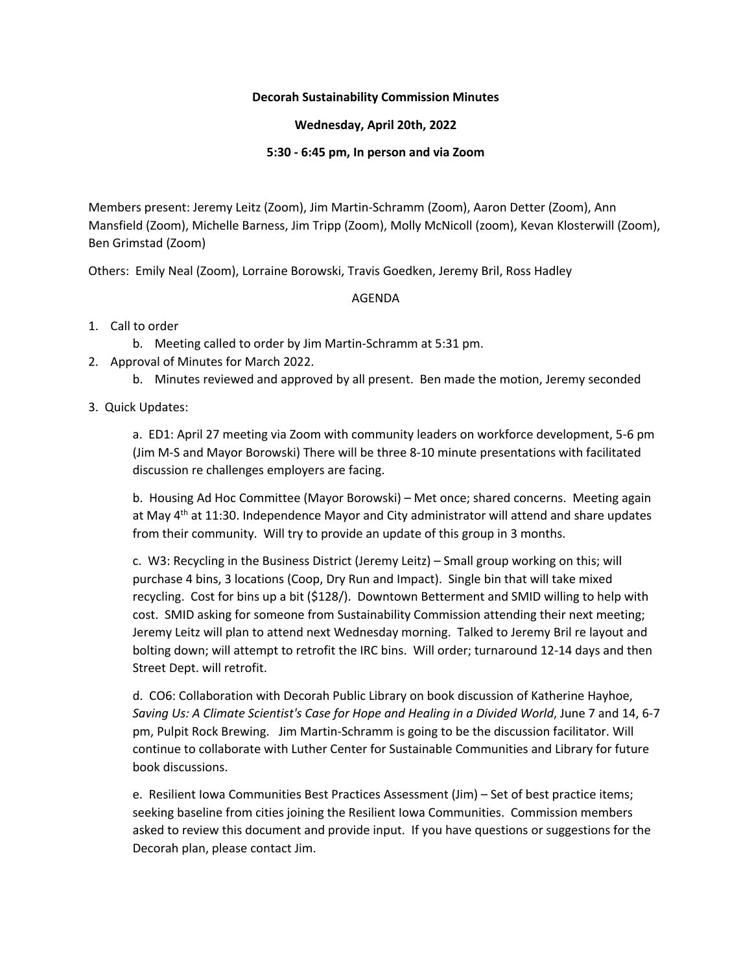## **Decorah Sustainability Commission Minutes**

## **Wednesday, April 20th, 2022**

### **5:30 - 6:45 pm, In person and via Zoom**

Members present: Jeremy Leitz (Zoom), Jim Martin-Schramm (Zoom), Aaron Detter (Zoom), Ann Mansfield (Zoom), Michelle Barness, Jim Tripp (Zoom), Molly McNicoll (zoom), Kevan Klosterwill (Zoom), Ben Grimstad (Zoom)

Others: Emily Neal (Zoom), Lorraine Borowski, Travis Goedken, Jeremy Bril, Ross Hadley

# AGENDA

- 1. Call to order
	- b. Meeting called to order by Jim Martin-Schramm at 5:31 pm.
- 2. Approval of Minutes for March 2022.
	- b. Minutes reviewed and approved by all present. Ben made the motion, Jeremy seconded

# 3. Quick Updates:

a. ED1: April 27 meeting via Zoom with community leaders on workforce development, 5-6 pm (Jim M-S and Mayor Borowski) There will be three 8-10 minute presentations with facilitated discussion re challenges employers are facing.

b. Housing Ad Hoc Committee (Mayor Borowski) – Met once; shared concerns. Meeting again at May 4<sup>th</sup> at 11:30. Independence Mayor and City administrator will attend and share updates from their community. Will try to provide an update of this group in 3 months.

c. W3: Recycling in the Business District (Jeremy Leitz) – Small group working on this; will purchase 4 bins, 3 locations (Coop, Dry Run and Impact). Single bin that will take mixed recycling. Cost for bins up a bit (\$128/). Downtown Betterment and SMID willing to help with cost. SMID asking for someone from Sustainability Commission attending their next meeting; Jeremy Leitz will plan to attend next Wednesday morning. Talked to Jeremy Bril re layout and bolting down; will attempt to retrofit the IRC bins. Will order; turnaround 12-14 days and then Street Dept. will retrofit.

d. CO6: Collaboration with Decorah Public Library on book discussion of Katherine Hayhoe, *Saving Us: A Climate Scientist's Case for Hope and Healing in a Divided World*, June 7 and 14, 6-7 pm, Pulpit Rock Brewing. Jim Martin-Schramm is going to be the discussion facilitator. Will continue to collaborate with Luther Center for Sustainable Communities and Library for future book discussions.

e. Resilient Iowa Communities Best Practices Assessment (Jim) – Set of best practice items; seeking baseline from cities joining the Resilient Iowa Communities. Commission members asked to review this document and provide input. If you have questions or suggestions for the Decorah plan, please contact Jim.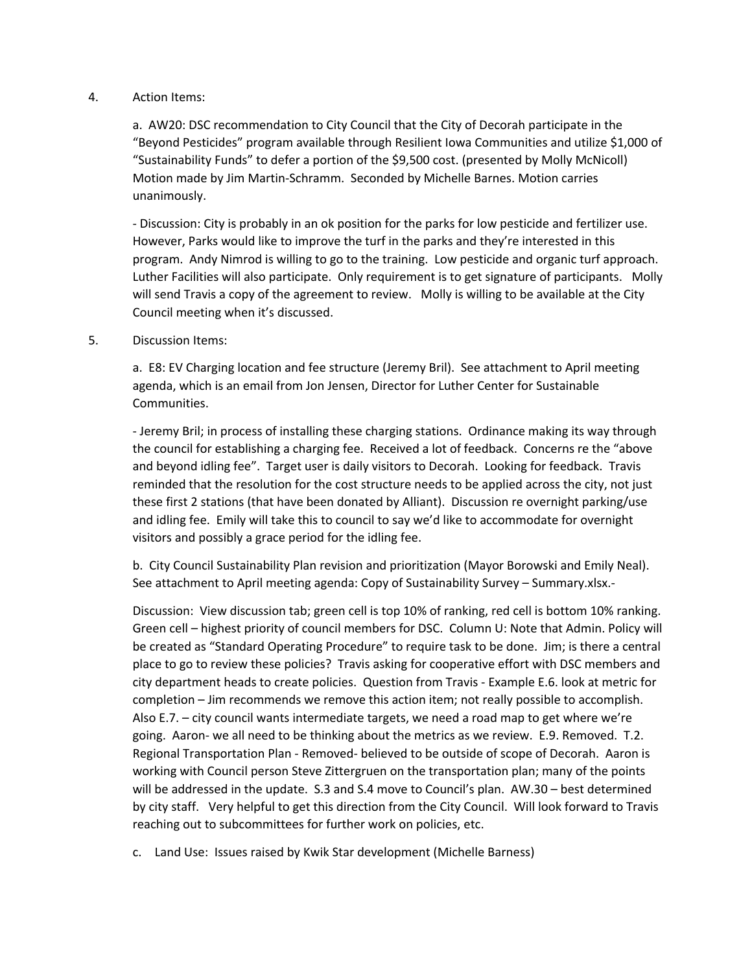#### 4. Action Items:

a. AW20: DSC recommendation to City Council that the City of Decorah participate in the "Beyond Pesticides" program available through Resilient Iowa Communities and utilize \$1,000 of "Sustainability Funds" to defer a portion of the \$9,500 cost. (presented by Molly McNicoll) Motion made by Jim Martin-Schramm. Seconded by Michelle Barnes. Motion carries unanimously.

- Discussion: City is probably in an ok position for the parks for low pesticide and fertilizer use. However, Parks would like to improve the turf in the parks and they're interested in this program. Andy Nimrod is willing to go to the training. Low pesticide and organic turf approach. Luther Facilities will also participate. Only requirement is to get signature of participants. Molly will send Travis a copy of the agreement to review. Molly is willing to be available at the City Council meeting when it's discussed.

### 5. Discussion Items:

a. E8: EV Charging location and fee structure (Jeremy Bril). See attachment to April meeting agenda, which is an email from Jon Jensen, Director for Luther Center for Sustainable Communities.

- Jeremy Bril; in process of installing these charging stations. Ordinance making its way through the council for establishing a charging fee. Received a lot of feedback. Concerns re the "above and beyond idling fee". Target user is daily visitors to Decorah. Looking for feedback. Travis reminded that the resolution for the cost structure needs to be applied across the city, not just these first 2 stations (that have been donated by Alliant). Discussion re overnight parking/use and idling fee. Emily will take this to council to say we'd like to accommodate for overnight visitors and possibly a grace period for the idling fee.

b. City Council Sustainability Plan revision and prioritization (Mayor Borowski and Emily Neal). See attachment to April meeting agenda: Copy of Sustainability Survey – Summary.xlsx.-

Discussion: View discussion tab; green cell is top 10% of ranking, red cell is bottom 10% ranking. Green cell – highest priority of council members for DSC. Column U: Note that Admin. Policy will be created as "Standard Operating Procedure" to require task to be done. Jim; is there a central place to go to review these policies? Travis asking for cooperative effort with DSC members and city department heads to create policies. Question from Travis - Example E.6. look at metric for completion – Jim recommends we remove this action item; not really possible to accomplish. Also E.7. – city council wants intermediate targets, we need a road map to get where we're going. Aaron- we all need to be thinking about the metrics as we review. E.9. Removed. T.2. Regional Transportation Plan - Removed- believed to be outside of scope of Decorah. Aaron is working with Council person Steve Zittergruen on the transportation plan; many of the points will be addressed in the update. S.3 and S.4 move to Council's plan. AW.30 – best determined by city staff. Very helpful to get this direction from the City Council. Will look forward to Travis reaching out to subcommittees for further work on policies, etc.

c. Land Use: Issues raised by Kwik Star development (Michelle Barness)